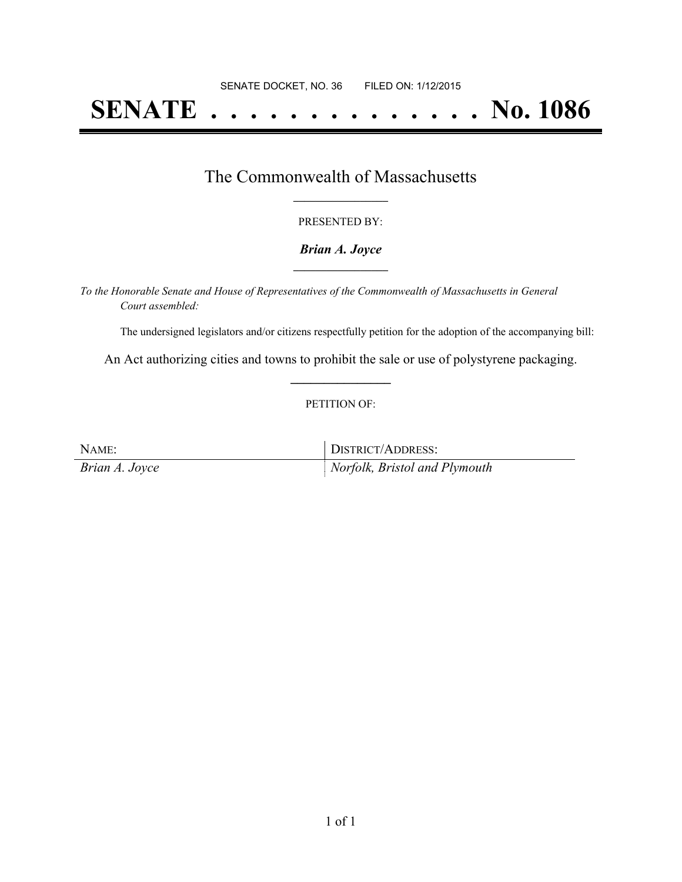# **SENATE . . . . . . . . . . . . . . No. 1086**

## The Commonwealth of Massachusetts **\_\_\_\_\_\_\_\_\_\_\_\_\_\_\_\_\_**

#### PRESENTED BY:

#### *Brian A. Joyce* **\_\_\_\_\_\_\_\_\_\_\_\_\_\_\_\_\_**

*To the Honorable Senate and House of Representatives of the Commonwealth of Massachusetts in General Court assembled:*

The undersigned legislators and/or citizens respectfully petition for the adoption of the accompanying bill:

An Act authorizing cities and towns to prohibit the sale or use of polystyrene packaging. **\_\_\_\_\_\_\_\_\_\_\_\_\_\_\_**

#### PETITION OF:

| NAME:          | DISTRICT/ADDRESS:             |
|----------------|-------------------------------|
| Brian A. Joyce | Norfolk, Bristol and Plymouth |